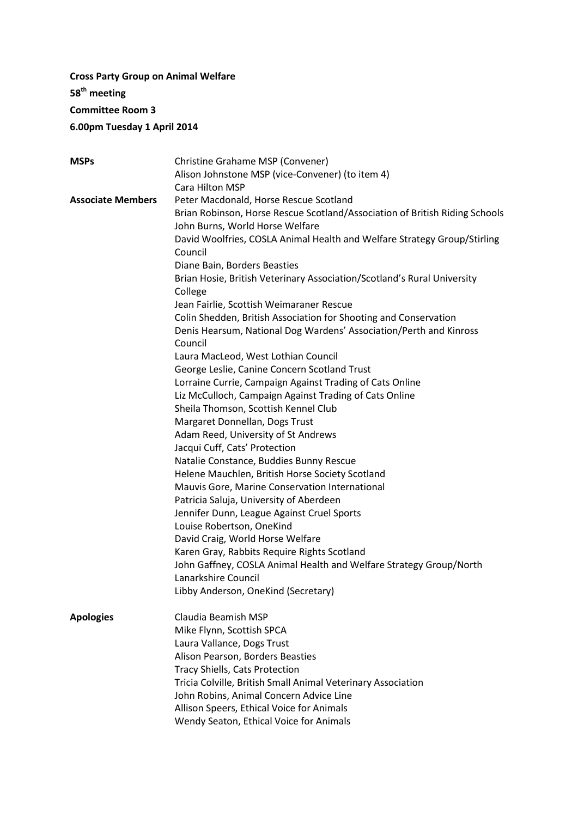# **Cross Party Group on Animal Welfare 58 th meeting Committee Room 3 6.00pm Tuesday 1 April 2014**

| <b>MSPs</b>              | Christine Grahame MSP (Convener)                                            |
|--------------------------|-----------------------------------------------------------------------------|
|                          | Alison Johnstone MSP (vice-Convener) (to item 4)                            |
|                          | Cara Hilton MSP                                                             |
| <b>Associate Members</b> | Peter Macdonald, Horse Rescue Scotland                                      |
|                          | Brian Robinson, Horse Rescue Scotland/Association of British Riding Schools |
|                          | John Burns, World Horse Welfare                                             |
|                          | David Woolfries, COSLA Animal Health and Welfare Strategy Group/Stirling    |
|                          | Council                                                                     |
|                          | Diane Bain, Borders Beasties                                                |
|                          | Brian Hosie, British Veterinary Association/Scotland's Rural University     |
|                          | College                                                                     |
|                          | Jean Fairlie, Scottish Weimaraner Rescue                                    |
|                          | Colin Shedden, British Association for Shooting and Conservation            |
|                          | Denis Hearsum, National Dog Wardens' Association/Perth and Kinross          |
|                          | Council                                                                     |
|                          | Laura MacLeod, West Lothian Council                                         |
|                          | George Leslie, Canine Concern Scotland Trust                                |
|                          | Lorraine Currie, Campaign Against Trading of Cats Online                    |
|                          | Liz McCulloch, Campaign Against Trading of Cats Online                      |
|                          | Sheila Thomson, Scottish Kennel Club                                        |
|                          | Margaret Donnellan, Dogs Trust                                              |
|                          | Adam Reed, University of St Andrews                                         |
|                          | Jacqui Cuff, Cats' Protection                                               |
|                          | Natalie Constance, Buddies Bunny Rescue                                     |
|                          | Helene Mauchlen, British Horse Society Scotland                             |
|                          | Mauvis Gore, Marine Conservation International                              |
|                          | Patricia Saluja, University of Aberdeen                                     |
|                          | Jennifer Dunn, League Against Cruel Sports                                  |
|                          | Louise Robertson, OneKind                                                   |
|                          | David Craig, World Horse Welfare                                            |
|                          | Karen Gray, Rabbits Require Rights Scotland                                 |
|                          | John Gaffney, COSLA Animal Health and Welfare Strategy Group/North          |
|                          | Lanarkshire Council                                                         |
|                          | Libby Anderson, OneKind (Secretary)                                         |
|                          |                                                                             |
| <b>Apologies</b>         | Claudia Beamish MSP                                                         |
|                          | Mike Flynn, Scottish SPCA                                                   |
|                          | Laura Vallance, Dogs Trust                                                  |
|                          | Alison Pearson, Borders Beasties                                            |
|                          | <b>Tracy Shiells, Cats Protection</b>                                       |
|                          | Tricia Colville, British Small Animal Veterinary Association                |
|                          | John Robins, Animal Concern Advice Line                                     |
|                          | Allison Speers, Ethical Voice for Animals                                   |
|                          | Wendy Seaton, Ethical Voice for Animals                                     |
|                          |                                                                             |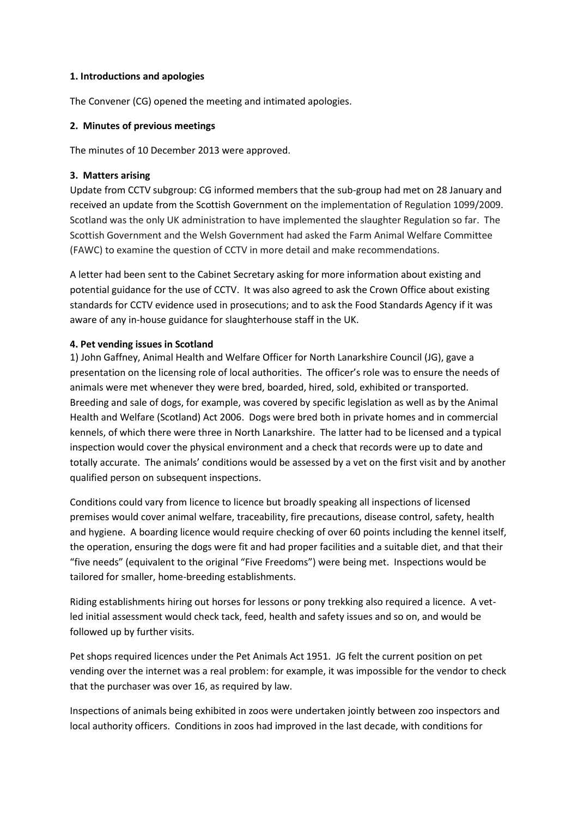#### **1. Introductions and apologies**

The Convener (CG) opened the meeting and intimated apologies.

## **2. Minutes of previous meetings**

The minutes of 10 December 2013 were approved.

## **3. Matters arising**

Update from CCTV subgroup: CG informed members that the sub-group had met on 28 January and received an update from the Scottish Government on the implementation of Regulation 1099/2009. Scotland was the only UK administration to have implemented the slaughter Regulation so far. The Scottish Government and the Welsh Government had asked the Farm Animal Welfare Committee (FAWC) to examine the question of CCTV in more detail and make recommendations.

A letter had been sent to the Cabinet Secretary asking for more information about existing and potential guidance for the use of CCTV. It was also agreed to ask the Crown Office about existing standards for CCTV evidence used in prosecutions; and to ask the Food Standards Agency if it was aware of any in-house guidance for slaughterhouse staff in the UK.

## **4. Pet vending issues in Scotland**

1) John Gaffney, Animal Health and Welfare Officer for North Lanarkshire Council (JG), gave a presentation on the licensing role of local authorities. The officer's role was to ensure the needs of animals were met whenever they were bred, boarded, hired, sold, exhibited or transported. Breeding and sale of dogs, for example, was covered by specific legislation as well as by the Animal Health and Welfare (Scotland) Act 2006. Dogs were bred both in private homes and in commercial kennels, of which there were three in North Lanarkshire. The latter had to be licensed and a typical inspection would cover the physical environment and a check that records were up to date and totally accurate. The animals' conditions would be assessed by a vet on the first visit and by another qualified person on subsequent inspections.

Conditions could vary from licence to licence but broadly speaking all inspections of licensed premises would cover animal welfare, traceability, fire precautions, disease control, safety, health and hygiene. A boarding licence would require checking of over 60 points including the kennel itself, the operation, ensuring the dogs were fit and had proper facilities and a suitable diet, and that their "five needs" (equivalent to the original "Five Freedoms") were being met. Inspections would be tailored for smaller, home-breeding establishments.

Riding establishments hiring out horses for lessons or pony trekking also required a licence. A vetled initial assessment would check tack, feed, health and safety issues and so on, and would be followed up by further visits.

Pet shops required licences under the Pet Animals Act 1951. JG felt the current position on pet vending over the internet was a real problem: for example, it was impossible for the vendor to check that the purchaser was over 16, as required by law.

Inspections of animals being exhibited in zoos were undertaken jointly between zoo inspectors and local authority officers. Conditions in zoos had improved in the last decade, with conditions for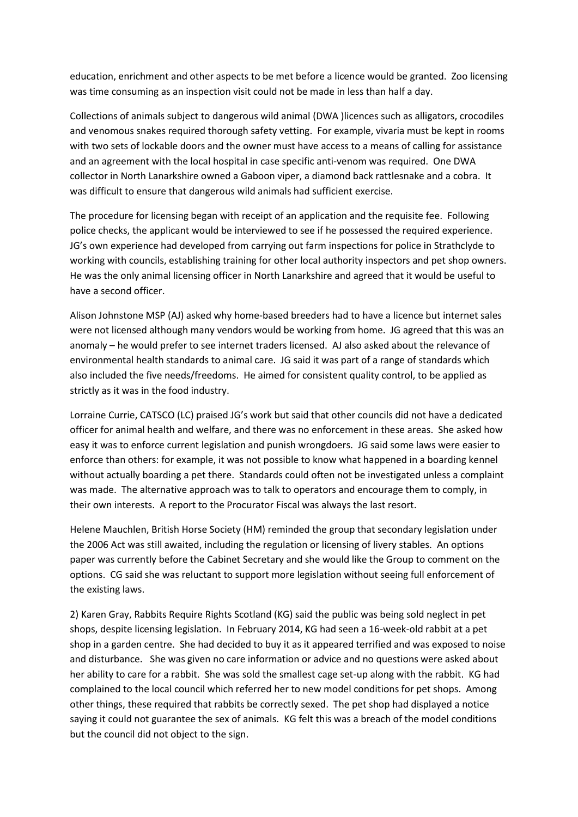education, enrichment and other aspects to be met before a licence would be granted. Zoo licensing was time consuming as an inspection visit could not be made in less than half a day.

Collections of animals subject to dangerous wild animal (DWA )licences such as alligators, crocodiles and venomous snakes required thorough safety vetting. For example, vivaria must be kept in rooms with two sets of lockable doors and the owner must have access to a means of calling for assistance and an agreement with the local hospital in case specific anti-venom was required. One DWA collector in North Lanarkshire owned a Gaboon viper, a diamond back rattlesnake and a cobra. It was difficult to ensure that dangerous wild animals had sufficient exercise.

The procedure for licensing began with receipt of an application and the requisite fee. Following police checks, the applicant would be interviewed to see if he possessed the required experience. JG's own experience had developed from carrying out farm inspections for police in Strathclyde to working with councils, establishing training for other local authority inspectors and pet shop owners. He was the only animal licensing officer in North Lanarkshire and agreed that it would be useful to have a second officer.

Alison Johnstone MSP (AJ) asked why home-based breeders had to have a licence but internet sales were not licensed although many vendors would be working from home. JG agreed that this was an anomaly – he would prefer to see internet traders licensed. AJ also asked about the relevance of environmental health standards to animal care. JG said it was part of a range of standards which also included the five needs/freedoms. He aimed for consistent quality control, to be applied as strictly as it was in the food industry.

Lorraine Currie, CATSCO (LC) praised JG's work but said that other councils did not have a dedicated officer for animal health and welfare, and there was no enforcement in these areas. She asked how easy it was to enforce current legislation and punish wrongdoers. JG said some laws were easier to enforce than others: for example, it was not possible to know what happened in a boarding kennel without actually boarding a pet there. Standards could often not be investigated unless a complaint was made. The alternative approach was to talk to operators and encourage them to comply, in their own interests. A report to the Procurator Fiscal was always the last resort.

Helene Mauchlen, British Horse Society (HM) reminded the group that secondary legislation under the 2006 Act was still awaited, including the regulation or licensing of livery stables. An options paper was currently before the Cabinet Secretary and she would like the Group to comment on the options. CG said she was reluctant to support more legislation without seeing full enforcement of the existing laws.

2) Karen Gray, Rabbits Require Rights Scotland (KG) said the public was being sold neglect in pet shops, despite licensing legislation. In February 2014, KG had seen a 16-week-old rabbit at a pet shop in a garden centre. She had decided to buy it as it appeared terrified and was exposed to noise and disturbance. She was given no care information or advice and no questions were asked about her ability to care for a rabbit. She was sold the smallest cage set-up along with the rabbit. KG had complained to the local council which referred her to new model conditions for pet shops. Among other things, these required that rabbits be correctly sexed. The pet shop had displayed a notice saying it could not guarantee the sex of animals. KG felt this was a breach of the model conditions but the council did not object to the sign.